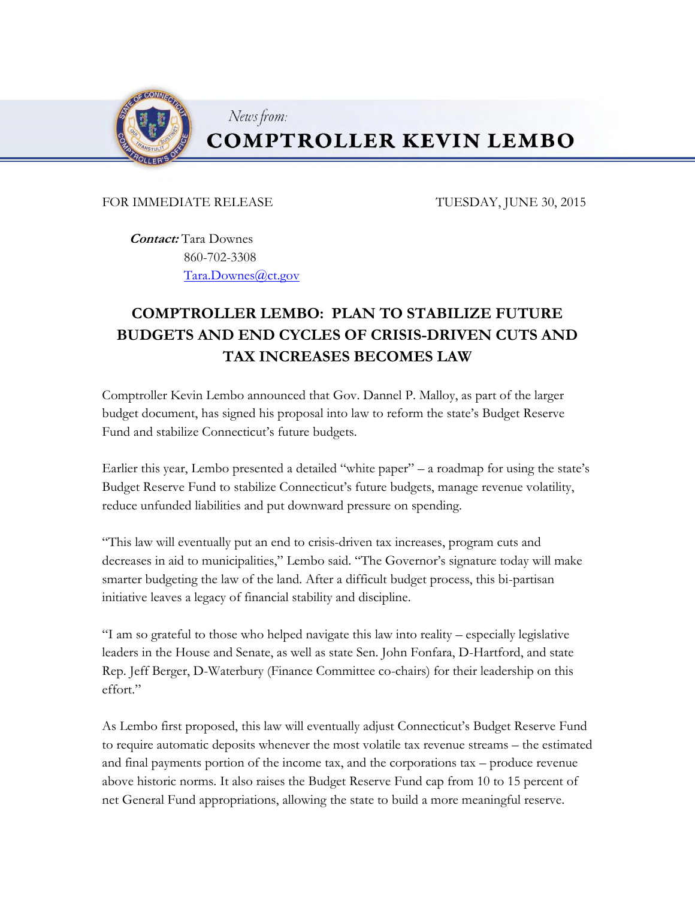

## **COMPTROLLER KEVIN LEMBO**

## FOR IMMEDIATE RELEASE TUESDAY, JUNE 30, 2015

 **Contact:** Tara Downes 860-702-3308 [Tara.Downes@ct.gov](mailto:Tara.Downes@ct.gov)

News from:

## **COMPTROLLER LEMBO: PLAN TO STABILIZE FUTURE BUDGETS AND END CYCLES OF CRISIS-DRIVEN CUTS AND TAX INCREASES BECOMES LAW**

Comptroller Kevin Lembo announced that Gov. Dannel P. Malloy, as part of the larger budget document, has signed his proposal into law to reform the state's Budget Reserve Fund and stabilize Connecticut's future budgets.

Earlier this year, Lembo presented a detailed "white paper" – a roadmap for using the state's Budget Reserve Fund to stabilize Connecticut's future budgets, manage revenue volatility, reduce unfunded liabilities and put downward pressure on spending.

"This law will eventually put an end to crisis-driven tax increases, program cuts and decreases in aid to municipalities," Lembo said. "The Governor's signature today will make smarter budgeting the law of the land. After a difficult budget process, this bi-partisan initiative leaves a legacy of financial stability and discipline.

"I am so grateful to those who helped navigate this law into reality – especially legislative leaders in the House and Senate, as well as state Sen. John Fonfara, D-Hartford, and state Rep. Jeff Berger, D-Waterbury (Finance Committee co-chairs) for their leadership on this effort."

As Lembo first proposed, this law will eventually adjust Connecticut's Budget Reserve Fund to require automatic deposits whenever the most volatile tax revenue streams – the estimated and final payments portion of the income tax, and the corporations tax – produce revenue above historic norms. It also raises the Budget Reserve Fund cap from 10 to 15 percent of net General Fund appropriations, allowing the state to build a more meaningful reserve.